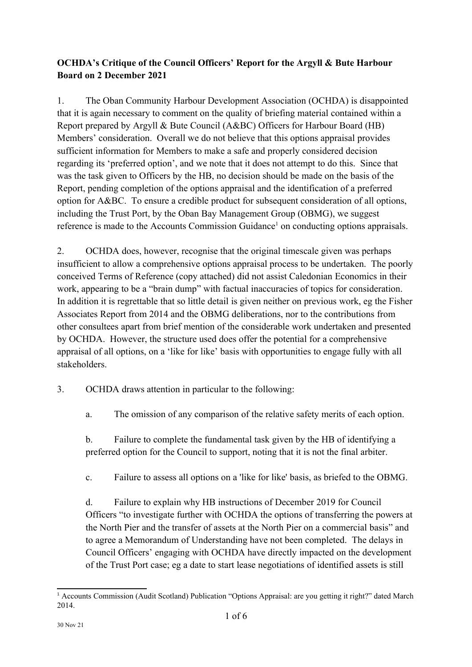# **OCHDA's Critique of the Council Officers' Report for the Argyll & Bute Harbour Board on 2 December 2021**

1. The Oban Community Harbour Development Association (OCHDA) is disappointed that it is again necessary to comment on the quality of briefing material contained within a Report prepared by Argyll & Bute Council (A&BC) Officers for Harbour Board (HB) Members' consideration. Overall we do not believe that this options appraisal provides sufficient information for Members to make a safe and properly considered decision regarding its 'preferred option', and we note that it does not attempt to do this. Since that was the task given to Officers by the HB, no decision should be made on the basis of the Report, pending completion of the options appraisal and the identification of a preferred option for A&BC. To ensure a credible product for subsequent consideration of all options, including the Trust Port, by the Oban Bay Management Group (OBMG), we suggest reference is made to the Accounts Commission Guidance<sup>[1](#page-0-0)</sup> on conducting options appraisals.

2. OCHDA does, however, recognise that the original timescale given was perhaps insufficient to allow a comprehensive options appraisal process to be undertaken. The poorly conceived Terms of Reference (copy attached) did not assist Caledonian Economics in their work, appearing to be a "brain dump" with factual inaccuracies of topics for consideration. In addition it is regrettable that so little detail is given neither on previous work, eg the Fisher Associates Report from 2014 and the OBMG deliberations, nor to the contributions from other consultees apart from brief mention of the considerable work undertaken and presented by OCHDA. However, the structure used does offer the potential for a comprehensive appraisal of all options, on a 'like for like' basis with opportunities to engage fully with all stakeholders.

- 3. OCHDA draws attention in particular to the following:
	- a. The omission of any comparison of the relative safety merits of each option.

b. Failure to complete the fundamental task given by the HB of identifying a preferred option for the Council to support, noting that it is not the final arbiter.

c. Failure to assess all options on a 'like for like' basis, as briefed to the OBMG.

d. Failure to explain why HB instructions of December 2019 for Council Officers "to investigate further with OCHDA the options of transferring the powers at the North Pier and the transfer of assets at the North Pier on a commercial basis" and to agree a Memorandum of Understanding have not been completed. The delays in Council Officers' engaging with OCHDA have directly impacted on the development of the Trust Port case; eg a date to start lease negotiations of identified assets is still

<span id="page-0-0"></span><sup>1</sup> Accounts Commission (Audit Scotland) Publication "Options Appraisal: are you getting it right?" dated March 2014.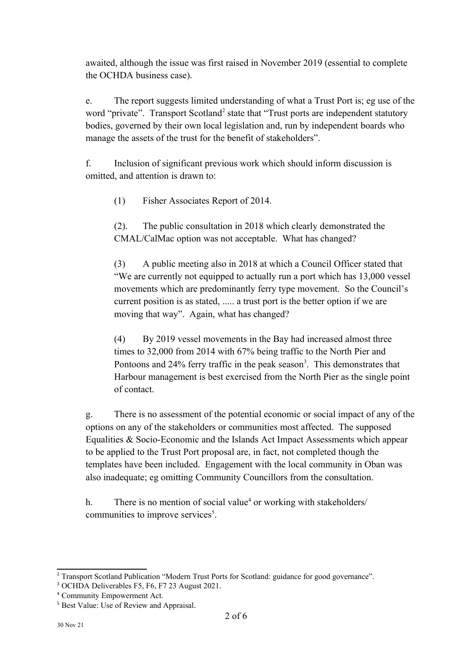awaited, although the issue was first raised in November 2019 (essential to complete the OCHDA business case).

e. The report suggests limited understanding of what a Trust Port is; eg use of the word "private". Transport Scotland<sup>[2](#page-1-0)</sup> state that "Trust ports are independent statutory bodies, governed by their own local legislation and, run by independent boards who manage the assets of the trust for the benefit of stakeholders".

f. Inclusion of significant previous work which should inform discussion is omitted, and attention is drawn to:

(1) Fisher Associates Report of 2014.

(2). The public consultation in 2018 which clearly demonstrated the CMAL/CalMac option was not acceptable. What has changed?

(3) A public meeting also in 2018 at which a Council Officer stated that "We are currently not equipped to actually run a port which has 13,000 vessel movements which are predominantly ferry type movement. So the Council's current position is as stated, ..... a trust port is the better option if we are moving that way". Again, what has changed?

(4) By 2019 vessel movements in the Bay had increased almost three times to 32,000 from 2014 with 67% being traffic to the North Pier and Pontoons and 24% ferry traffic in the peak season<sup>[3](#page-1-1)</sup>. This demonstrates that Harbour management is best exercised from the North Pier as the single point of contact.

g. There is no assessment of the potential economic or social impact of any of the options on any of the stakeholders or communities most affected. The supposed Equalities & Socio-Economic and the Islands Act Impact Assessments which appear to be applied to the Trust Port proposal are, in fact, not completed though the templates have been included. Engagement with the local community in Oban was also inadequate; eg omitting Community Councillors from the consultation.

h. There is no mention of social value<sup>[4](#page-1-2)</sup> or working with stakeholders/ communities to improve services<sup>[5](#page-1-3)</sup>.

<span id="page-1-0"></span><sup>&</sup>lt;sup>2</sup> Transport Scotland Publication "Modern Trust Ports for Scotland: guidance for good governance".

<span id="page-1-1"></span><sup>3</sup> OCHDA Deliverables F5, F6, F7 23 August 2021.

<span id="page-1-2"></span><sup>4</sup> Community Empowerment Act.

<span id="page-1-3"></span><sup>&</sup>lt;sup>5</sup> Best Value: Use of Review and Appraisal.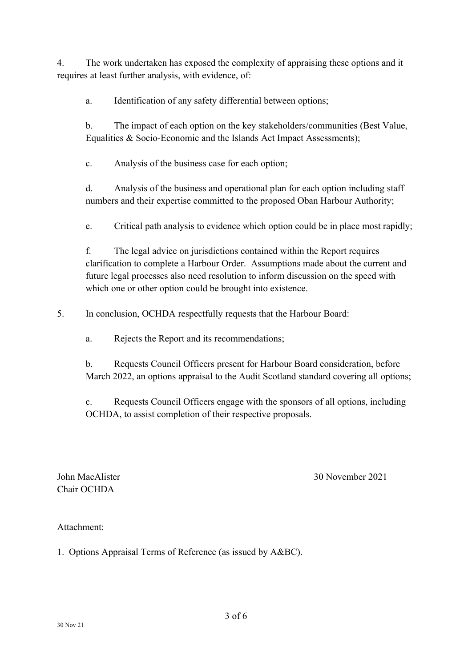4. The work undertaken has exposed the complexity of appraising these options and it requires at least further analysis, with evidence, of:

a. Identification of any safety differential between options;

b. The impact of each option on the key stakeholders/communities (Best Value, Equalities & Socio-Economic and the Islands Act Impact Assessments);

c. Analysis of the business case for each option;

d. Analysis of the business and operational plan for each option including staff numbers and their expertise committed to the proposed Oban Harbour Authority;

e. Critical path analysis to evidence which option could be in place most rapidly;

f. The legal advice on jurisdictions contained within the Report requires clarification to complete a Harbour Order. Assumptions made about the current and future legal processes also need resolution to inform discussion on the speed with which one or other option could be brought into existence.

5. In conclusion, OCHDA respectfully requests that the Harbour Board:

a. Rejects the Report and its recommendations;

b. Requests Council Officers present for Harbour Board consideration, before March 2022, an options appraisal to the Audit Scotland standard covering all options;

c. Requests Council Officers engage with the sponsors of all options, including OCHDA, to assist completion of their respective proposals.

Chair OCHDA

John MacAlister 30 November 2021

Attachment:

1. Options Appraisal Terms of Reference (as issued by A&BC).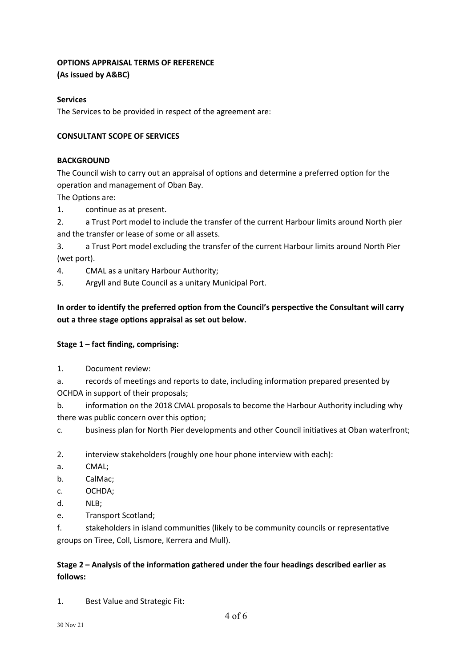### **OPTIONS APPRAISAL TERMS OF REFERENCE**

**(As issued by A&BC)**

### **Services**

The Services to be provided in respect of the agreement are:

### **CONSULTANT SCOPE OF SERVICES**

#### **BACKGROUND**

The Council wish to carry out an appraisal of options and determine a preferred option for the operation and management of Oban Bay.

The Options are:

- 1. continue as at present.
- 2. a Trust Port model to include the transfer of the current Harbour limits around North pier and the transfer or lease of some or all assets.

3. a Trust Port model excluding the transfer of the current Harbour limits around North Pier (wet port).

- 4. CMAL as a unitary Harbour Authority;
- 5. Argyll and Bute Council as a unitary Municipal Port.

**In order to identify the preferred option from the Council's perspective the Consultant will carry out a three stage options appraisal as set out below.**

#### **Stage 1 – fact finding, comprising:**

1. Document review:

a. records of meetings and reports to date, including information prepared presented by OCHDA in support of their proposals;

b. information on the 2018 CMAL proposals to become the Harbour Authority including why there was public concern over this option;

c. business plan for North Pier developments and other Council initiatives at Oban waterfront;

2. interview stakeholders (roughly one hour phone interview with each):

- a. CMAL;
- b. CalMac;
- c. OCHDA;
- d. NLB;
- e. Transport Scotland;

f. stakeholders in island communities (likely to be community councils or representative groups on Tiree, Coll, Lismore, Kerrera and Mull).

## **Stage 2 – Analysis of the information gathered under the four headings described earlier as follows:**

1. Best Value and Strategic Fit: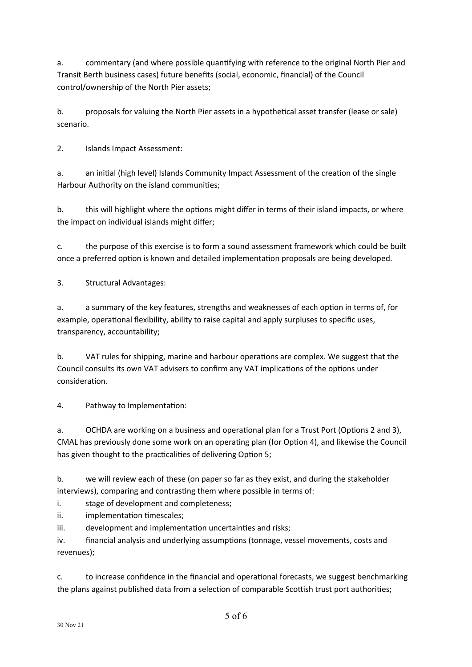a. commentary (and where possible quantifying with reference to the original North Pier and Transit Berth business cases) future benefits (social, economic, financial) of the Council control/ownership of the North Pier assets;

b. proposals for valuing the North Pier assets in a hypothetical asset transfer (lease or sale) scenario.

2. Islands Impact Assessment:

a. an initial (high level) Islands Community Impact Assessment of the creation of the single Harbour Authority on the island communities;

b. this will highlight where the options might differ in terms of their island impacts, or where the impact on individual islands might differ;

c. the purpose of this exercise is to form a sound assessment framework which could be built once a preferred option is known and detailed implementation proposals are being developed.

3. Structural Advantages:

a. a summary of the key features, strengths and weaknesses of each option in terms of, for example, operational flexibility, ability to raise capital and apply surpluses to specific uses, transparency, accountability;

b. VAT rules for shipping, marine and harbour operations are complex. We suggest that the Council consults its own VAT advisers to confirm any VAT implications of the options under consideration.

4. Pathway to Implementation:

a. OCHDA are working on a business and operational plan for a Trust Port (Options 2 and 3), CMAL has previously done some work on an operating plan (for Option 4), and likewise the Council has given thought to the practicalities of delivering Option 5;

b. we will review each of these (on paper so far as they exist, and during the stakeholder interviews), comparing and contrasting them where possible in terms of:

i. stage of development and completeness;

ii. implementation timescales;

iii. development and implementation uncertainties and risks;

iv. financial analysis and underlying assumptions (tonnage, vessel movements, costs and revenues);

c. to increase confidence in the financial and operational forecasts, we suggest benchmarking the plans against published data from a selection of comparable Scottish trust port authorities;